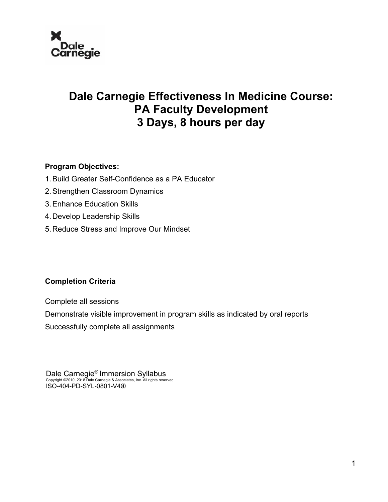

## **Dale Carnegie Effectiveness In Medicine Course: PA Faculty Development 3 Days, 8 hours per day**

## **Program Objectives:**

- 1.Build Greater Self-Confidence as a PA Educator
- 2.Strengthen Classroom Dynamics
- 3.Enhance Education Skills
- 4.Develop Leadership Skills
- 5.Reduce Stress and Improve Our Mindset

## **Completion Criteria**

Complete all sessions

Demonstrate visible improvement in program skills as indicated by oral reports

Successfully complete all assignments

Dale Carnegie® Immersion Syllabus Copyright ©2010, 2018 Dale Carnegie & Associates, Inc. All rights reserved ISO-404-PD-SYL-0801-V400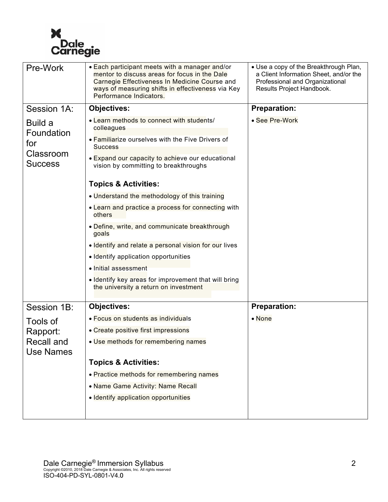

| Pre-Work                                                    | • Each participant meets with a manager and/or<br>mentor to discuss areas for focus in the Dale<br>Carnegie Effectiveness In Medicine Course and<br>ways of measuring shifts in effectiveness via Key<br>Performance Indicators.                                                                                                                                                                                                                                                                                                                                                                                                                                   | • Use a copy of the Breakthrough Plan,<br>a Client Information Sheet, and/or the<br>Professional and Organizational<br>Results Project Handbook. |
|-------------------------------------------------------------|--------------------------------------------------------------------------------------------------------------------------------------------------------------------------------------------------------------------------------------------------------------------------------------------------------------------------------------------------------------------------------------------------------------------------------------------------------------------------------------------------------------------------------------------------------------------------------------------------------------------------------------------------------------------|--------------------------------------------------------------------------------------------------------------------------------------------------|
| Session 1A:                                                 | <b>Objectives:</b>                                                                                                                                                                                                                                                                                                                                                                                                                                                                                                                                                                                                                                                 | <b>Preparation:</b>                                                                                                                              |
| Build a<br>Foundation<br>for<br>Classroom<br><b>Success</b> | • Learn methods to connect with students/<br>colleagues<br>• Familiarize ourselves with the Five Drivers of<br><b>Success</b><br>• Expand our capacity to achieve our educational<br>vision by committing to breakthroughs<br><b>Topics &amp; Activities:</b><br>. Understand the methodology of this training<br>• Learn and practice a process for connecting with<br>others<br>· Define, write, and communicate breakthrough<br>goals<br>. Identify and relate a personal vision for our lives<br>• Identify application opportunities<br>• Initial assessment<br>. Identify key areas for improvement that will bring<br>the university a return on investment | • See Pre-Work                                                                                                                                   |
| Session 1B:                                                 | <b>Objectives:</b>                                                                                                                                                                                                                                                                                                                                                                                                                                                                                                                                                                                                                                                 | <b>Preparation:</b>                                                                                                                              |
| Tools of                                                    | • Focus on students as individuals                                                                                                                                                                                                                                                                                                                                                                                                                                                                                                                                                                                                                                 | $\bullet$ None                                                                                                                                   |
| Rapport:                                                    | • Create positive first impressions                                                                                                                                                                                                                                                                                                                                                                                                                                                                                                                                                                                                                                |                                                                                                                                                  |
| Recall and<br>Use Names                                     | • Use methods for remembering names                                                                                                                                                                                                                                                                                                                                                                                                                                                                                                                                                                                                                                |                                                                                                                                                  |
|                                                             | <b>Topics &amp; Activities:</b>                                                                                                                                                                                                                                                                                                                                                                                                                                                                                                                                                                                                                                    |                                                                                                                                                  |
|                                                             | • Practice methods for remembering names                                                                                                                                                                                                                                                                                                                                                                                                                                                                                                                                                                                                                           |                                                                                                                                                  |
|                                                             | • Name Game Activity: Name Recall                                                                                                                                                                                                                                                                                                                                                                                                                                                                                                                                                                                                                                  |                                                                                                                                                  |
|                                                             | · Identify application opportunities                                                                                                                                                                                                                                                                                                                                                                                                                                                                                                                                                                                                                               |                                                                                                                                                  |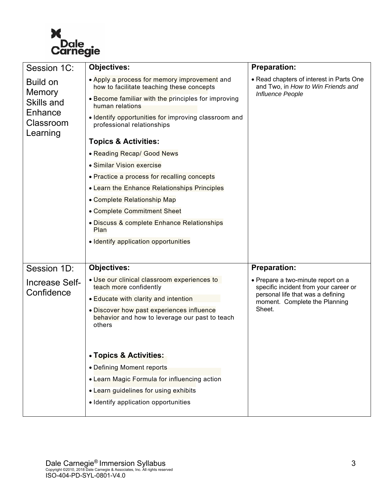

| Session 1C:                                                                        | <b>Objectives:</b>                                                                                    | <b>Preparation:</b>                                                                                                                               |
|------------------------------------------------------------------------------------|-------------------------------------------------------------------------------------------------------|---------------------------------------------------------------------------------------------------------------------------------------------------|
| <b>Build on</b><br><b>Memory</b><br>Skills and<br>Enhance<br>Classroom<br>Learning | • Apply a process for memory improvement and<br>how to facilitate teaching these concepts             | • Read chapters of interest in Parts One<br>and Two, in How to Win Friends and<br><b>Influence People</b>                                         |
|                                                                                    | • Become familiar with the principles for improving<br>human relations                                |                                                                                                                                                   |
|                                                                                    | . Identify opportunities for improving classroom and<br>professional relationships                    |                                                                                                                                                   |
|                                                                                    | <b>Topics &amp; Activities:</b>                                                                       |                                                                                                                                                   |
|                                                                                    | • Reading Recap/ Good News                                                                            |                                                                                                                                                   |
|                                                                                    | • Similar Vision exercise                                                                             |                                                                                                                                                   |
|                                                                                    | • Practice a process for recalling concepts                                                           |                                                                                                                                                   |
|                                                                                    | • Learn the Enhance Relationships Principles                                                          |                                                                                                                                                   |
|                                                                                    | • Complete Relationship Map                                                                           |                                                                                                                                                   |
|                                                                                    | • Complete Commitment Sheet                                                                           |                                                                                                                                                   |
|                                                                                    | • Discuss & complete Enhance Relationships<br>Plan                                                    |                                                                                                                                                   |
|                                                                                    | · Identify application opportunities                                                                  |                                                                                                                                                   |
|                                                                                    |                                                                                                       |                                                                                                                                                   |
| Session 1D:                                                                        | <b>Objectives:</b>                                                                                    | <b>Preparation:</b>                                                                                                                               |
| <b>Increase Self-</b><br>Confidence                                                | . Use our clinical classroom experiences to<br>teach more confidently                                 | • Prepare a two-minute report on a<br>specific incident from your career or<br>personal life that was a defining<br>moment. Complete the Planning |
|                                                                                    | • Educate with clarity and intention                                                                  |                                                                                                                                                   |
|                                                                                    | . Discover how past experiences influence<br>behavior and how to leverage our past to teach<br>others | Sheet.                                                                                                                                            |
|                                                                                    | • Topics & Activities:                                                                                |                                                                                                                                                   |
|                                                                                    | • Defining Moment reports                                                                             |                                                                                                                                                   |
|                                                                                    | • Learn Magic Formula for influencing action                                                          |                                                                                                                                                   |
|                                                                                    | • Learn guidelines for using exhibits                                                                 |                                                                                                                                                   |
|                                                                                    | · Identify application opportunities                                                                  |                                                                                                                                                   |
|                                                                                    |                                                                                                       |                                                                                                                                                   |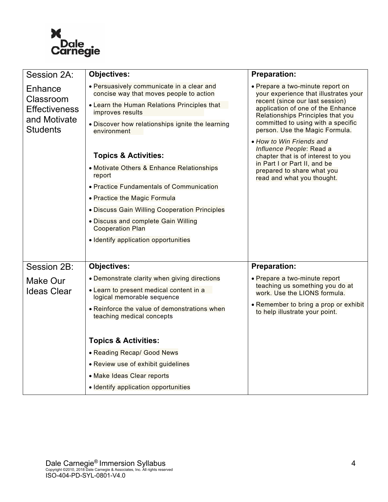

| Session 2A:                                                                     | <b>Objectives:</b>                                                                   | <b>Preparation:</b>                                                                                                                                                                                                                                                                                                                                                                                                                                      |
|---------------------------------------------------------------------------------|--------------------------------------------------------------------------------------|----------------------------------------------------------------------------------------------------------------------------------------------------------------------------------------------------------------------------------------------------------------------------------------------------------------------------------------------------------------------------------------------------------------------------------------------------------|
| Enhance<br>Classroom<br><b>Effectiveness</b><br>and Motivate<br><b>Students</b> | • Persuasively communicate in a clear and<br>concise way that moves people to action | • Prepare a two-minute report on<br>your experience that illustrates your<br>recent (since our last session)<br>application of one of the Enhance<br>Relationships Principles that you<br>committed to using with a specific<br>person. Use the Magic Formula.<br>• How to Win Friends and<br>Influence People: Read a<br>chapter that is of interest to you<br>in Part I or Part II, and be<br>prepared to share what you<br>read and what you thought. |
|                                                                                 | • Learn the Human Relations Principles that<br>improves results                      |                                                                                                                                                                                                                                                                                                                                                                                                                                                          |
|                                                                                 | . Discover how relationships ignite the learning<br>environment                      |                                                                                                                                                                                                                                                                                                                                                                                                                                                          |
|                                                                                 | <b>Topics &amp; Activities:</b>                                                      |                                                                                                                                                                                                                                                                                                                                                                                                                                                          |
|                                                                                 | • Motivate Others & Enhance Relationships<br>report                                  |                                                                                                                                                                                                                                                                                                                                                                                                                                                          |
|                                                                                 | • Practice Fundamentals of Communication                                             |                                                                                                                                                                                                                                                                                                                                                                                                                                                          |
|                                                                                 | • Practice the Magic Formula                                                         |                                                                                                                                                                                                                                                                                                                                                                                                                                                          |
|                                                                                 | . Discuss Gain Willing Cooperation Principles                                        |                                                                                                                                                                                                                                                                                                                                                                                                                                                          |
|                                                                                 | • Discuss and complete Gain Willing<br><b>Cooperation Plan</b>                       |                                                                                                                                                                                                                                                                                                                                                                                                                                                          |
|                                                                                 | · Identify application opportunities                                                 |                                                                                                                                                                                                                                                                                                                                                                                                                                                          |
|                                                                                 |                                                                                      |                                                                                                                                                                                                                                                                                                                                                                                                                                                          |
| Session 2B:                                                                     | <b>Objectives:</b>                                                                   | <b>Preparation:</b>                                                                                                                                                                                                                                                                                                                                                                                                                                      |
| Make Our                                                                        | • Demonstrate clarity when giving directions                                         | • Prepare a two-minute report                                                                                                                                                                                                                                                                                                                                                                                                                            |
| <b>Ideas Clear</b>                                                              | • Learn to present medical content in a<br>logical memorable sequence                | teaching us something you do at<br>work. Use the LIONS formula.                                                                                                                                                                                                                                                                                                                                                                                          |
|                                                                                 | • Reinforce the value of demonstrations when<br>teaching medical concepts            | • Remember to bring a prop or exhibit<br>to help illustrate your point.                                                                                                                                                                                                                                                                                                                                                                                  |
|                                                                                 | <b>Topics &amp; Activities:</b>                                                      |                                                                                                                                                                                                                                                                                                                                                                                                                                                          |
|                                                                                 | • Reading Recap/ Good News                                                           |                                                                                                                                                                                                                                                                                                                                                                                                                                                          |
|                                                                                 | • Review use of exhibit guidelines                                                   |                                                                                                                                                                                                                                                                                                                                                                                                                                                          |
|                                                                                 | • Make Ideas Clear reports                                                           |                                                                                                                                                                                                                                                                                                                                                                                                                                                          |
|                                                                                 | · Identify application opportunities                                                 |                                                                                                                                                                                                                                                                                                                                                                                                                                                          |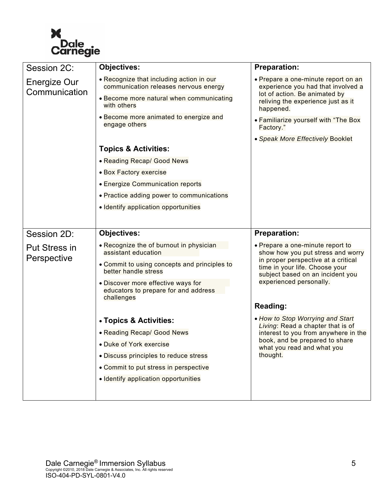

| Session 2C:                   | <b>Objectives:</b>                                                                       | <b>Preparation:</b>                                                                                                                                           |
|-------------------------------|------------------------------------------------------------------------------------------|---------------------------------------------------------------------------------------------------------------------------------------------------------------|
| Energize Our<br>Communication | . Recognize that including action in our<br>communication releases nervous energy        | • Prepare a one-minute report on an<br>experience you had that involved a<br>lot of action. Be animated by<br>reliving the experience just as it<br>happened. |
|                               | • Become more natural when communicating<br>with others                                  |                                                                                                                                                               |
|                               | • Become more animated to energize and<br>engage others                                  | . Familiarize yourself with "The Box<br>Factory."                                                                                                             |
|                               |                                                                                          | · Speak More Effectively Booklet                                                                                                                              |
|                               | <b>Topics &amp; Activities:</b>                                                          |                                                                                                                                                               |
|                               | • Reading Recap/ Good News                                                               |                                                                                                                                                               |
|                               | • Box Factory exercise                                                                   |                                                                                                                                                               |
|                               | • Energize Communication reports                                                         |                                                                                                                                                               |
|                               | • Practice adding power to communications                                                |                                                                                                                                                               |
|                               | · Identify application opportunities                                                     |                                                                                                                                                               |
|                               |                                                                                          |                                                                                                                                                               |
|                               |                                                                                          |                                                                                                                                                               |
| Session 2D:                   | <b>Objectives:</b>                                                                       | <b>Preparation:</b>                                                                                                                                           |
| <b>Put Stress in</b>          | • Recognize the of burnout in physician<br>assistant education                           | • Prepare a one-minute report to<br>show how you put stress and worry                                                                                         |
| Perspective                   | • Commit to using concepts and principles to<br>better handle stress                     | in proper perspective at a critical<br>time in your life. Choose your<br>subject based on an incident you                                                     |
|                               | • Discover more effective ways for<br>educators to prepare for and address<br>challenges | experienced personally.                                                                                                                                       |
|                               |                                                                                          | Reading:                                                                                                                                                      |
|                               | • Topics & Activities:                                                                   | • How to Stop Worrying and Start                                                                                                                              |
|                               | • Reading Recap/ Good News                                                               | Living: Read a chapter that is of<br>interest to you from anywhere in the                                                                                     |
|                               | · Duke of York exercise                                                                  | book, and be prepared to share                                                                                                                                |
|                               | · Discuss principles to reduce stress                                                    | what you read and what you<br>thought.                                                                                                                        |
|                               | • Commit to put stress in perspective                                                    |                                                                                                                                                               |
|                               | · Identify application opportunities                                                     |                                                                                                                                                               |
|                               |                                                                                          |                                                                                                                                                               |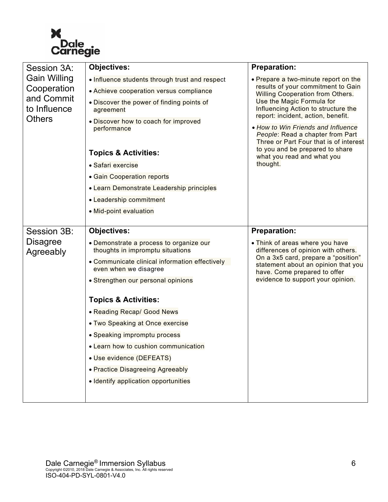

| Session 3A:                                                                       | <b>Objectives:</b>                                                          | <b>Preparation:</b>                                                                                                                                                                                                                                                                                                                                                          |
|-----------------------------------------------------------------------------------|-----------------------------------------------------------------------------|------------------------------------------------------------------------------------------------------------------------------------------------------------------------------------------------------------------------------------------------------------------------------------------------------------------------------------------------------------------------------|
| <b>Gain Willing</b><br>Cooperation<br>and Commit<br>to Influence<br><b>Others</b> | . Influence students through trust and respect                              | • Prepare a two-minute report on the                                                                                                                                                                                                                                                                                                                                         |
|                                                                                   | • Achieve cooperation versus compliance                                     | results of your commitment to Gain<br><b>Willing Cooperation from Others.</b><br>Use the Magic Formula for<br>Influencing Action to structure the<br>report: incident, action, benefit.<br>• How to Win Friends and Influence<br>People: Read a chapter from Part<br>Three or Part Four that is of interest<br>to you and be prepared to share<br>what you read and what you |
|                                                                                   | • Discover the power of finding points of<br>agreement                      |                                                                                                                                                                                                                                                                                                                                                                              |
|                                                                                   | . Discover how to coach for improved<br>performance                         |                                                                                                                                                                                                                                                                                                                                                                              |
|                                                                                   | <b>Topics &amp; Activities:</b>                                             |                                                                                                                                                                                                                                                                                                                                                                              |
|                                                                                   | · Safari exercise                                                           | thought.                                                                                                                                                                                                                                                                                                                                                                     |
|                                                                                   | • Gain Cooperation reports                                                  |                                                                                                                                                                                                                                                                                                                                                                              |
|                                                                                   | • Learn Demonstrate Leadership principles                                   |                                                                                                                                                                                                                                                                                                                                                                              |
|                                                                                   | • Leadership commitment                                                     |                                                                                                                                                                                                                                                                                                                                                                              |
|                                                                                   | • Mid-point evaluation                                                      |                                                                                                                                                                                                                                                                                                                                                                              |
|                                                                                   |                                                                             |                                                                                                                                                                                                                                                                                                                                                                              |
| Session 3B:                                                                       | <b>Objectives:</b>                                                          | <b>Preparation:</b>                                                                                                                                                                                                                                                                                                                                                          |
| <b>Disagree</b><br>Agreeably                                                      | • Demonstrate a process to organize our<br>thoughts in impromptu situations | • Think of areas where you have<br>differences of opinion with others.                                                                                                                                                                                                                                                                                                       |
|                                                                                   | • Communicate clinical information effectively<br>even when we disagree     | On a 3x5 card, prepare a "position"<br>statement about an opinion that you<br>have. Come prepared to offer                                                                                                                                                                                                                                                                   |
|                                                                                   | • Strengthen our personal opinions                                          | evidence to support your opinion.                                                                                                                                                                                                                                                                                                                                            |
|                                                                                   | <b>Topics &amp; Activities:</b>                                             |                                                                                                                                                                                                                                                                                                                                                                              |
|                                                                                   | • Reading Recap/ Good News                                                  |                                                                                                                                                                                                                                                                                                                                                                              |
|                                                                                   | • Two Speaking at Once exercise                                             |                                                                                                                                                                                                                                                                                                                                                                              |
|                                                                                   | • Speaking impromptu process                                                |                                                                                                                                                                                                                                                                                                                                                                              |
|                                                                                   | • Learn how to cushion communication                                        |                                                                                                                                                                                                                                                                                                                                                                              |
|                                                                                   | • Use evidence (DEFEATS)                                                    |                                                                                                                                                                                                                                                                                                                                                                              |
|                                                                                   | • Practice Disagreeing Agreeably                                            |                                                                                                                                                                                                                                                                                                                                                                              |
|                                                                                   | · Identify application opportunities                                        |                                                                                                                                                                                                                                                                                                                                                                              |
|                                                                                   |                                                                             |                                                                                                                                                                                                                                                                                                                                                                              |